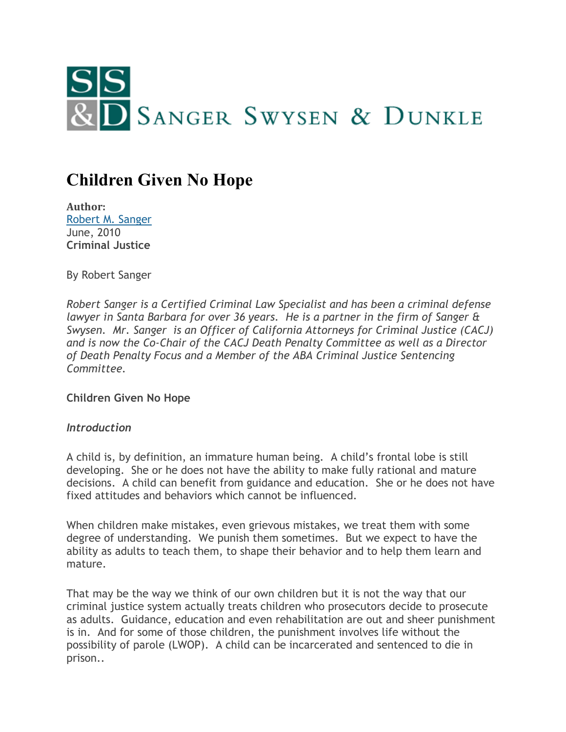

# **Children Given No Hope**

**Author:** [Robert M. Sanger](http://www.sangerswysen.com/robert-m-sanger) June, 2010 **Criminal Justice**

By Robert Sanger

*Robert Sanger is a Certified Criminal Law Specialist and has been a criminal defense lawyer in Santa Barbara for over 36 years. He is a partner in the firm of Sanger & Swysen. Mr. Sanger is an Officer of California Attorneys for Criminal Justice (CACJ) and is now the Co-Chair of the CACJ Death Penalty Committee as well as a Director of Death Penalty Focus and a Member of the ABA Criminal Justice Sentencing Committee.*

**Children Given No Hope**

## *Introduction*

A child is, by definition, an immature human being. A child's frontal lobe is still developing. She or he does not have the ability to make fully rational and mature decisions. A child can benefit from guidance and education. She or he does not have fixed attitudes and behaviors which cannot be influenced.

When children make mistakes, even grievous mistakes, we treat them with some degree of understanding. We punish them sometimes. But we expect to have the ability as adults to teach them, to shape their behavior and to help them learn and mature.

That may be the way we think of our own children but it is not the way that our criminal justice system actually treats children who prosecutors decide to prosecute as adults. Guidance, education and even rehabilitation are out and sheer punishment is in. And for some of those children, the punishment involves life without the possibility of parole (LWOP). A child can be incarcerated and sentenced to die in prison..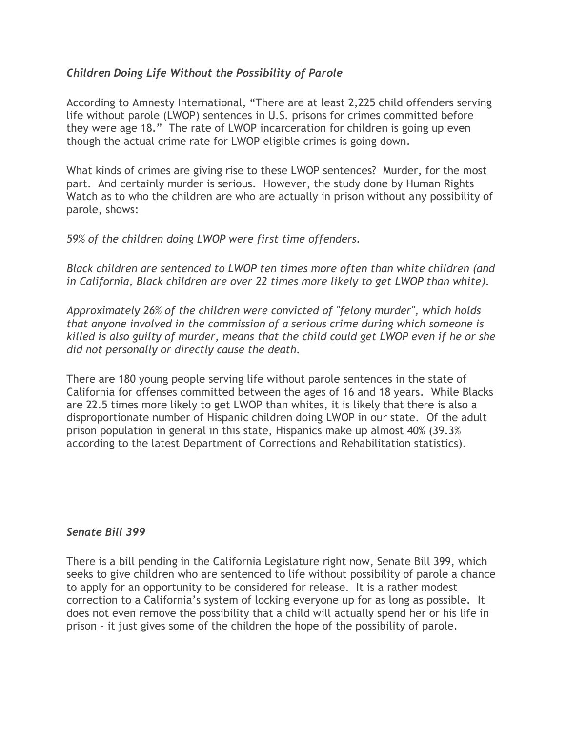## *Children Doing Life Without the Possibility of Parole*

According to Amnesty International, "There are at least 2,225 child offenders serving life without parole (LWOP) sentences in U.S. prisons for crimes committed before they were age 18." The rate of LWOP incarceration for children is going up even though the actual crime rate for LWOP eligible crimes is going down.

What kinds of crimes are giving rise to these LWOP sentences? Murder, for the most part. And certainly murder is serious. However, the study done by Human Rights Watch as to who the children are who are actually in prison without any possibility of parole, shows:

*59% of the children doing LWOP were first time offenders.*

*Black children are sentenced to LWOP ten times more often than white children (and in California, Black children are over 22 times more likely to get LWOP than white).*

*Approximately 26% of the children were convicted of "felony murder", which holds that anyone involved in the commission of a serious crime during which someone is killed is also guilty of murder, means that the child could get LWOP even if he or she did not personally or directly cause the death.*

There are 180 young people serving life without parole sentences in the state of California for offenses committed between the ages of 16 and 18 years. While Blacks are 22.5 times more likely to get LWOP than whites, it is likely that there is also a disproportionate number of Hispanic children doing LWOP in our state. Of the adult prison population in general in this state, Hispanics make up almost 40% (39.3% according to the latest Department of Corrections and Rehabilitation statistics).

#### *Senate Bill 399*

There is a bill pending in the California Legislature right now, Senate Bill 399, which seeks to give children who are sentenced to life without possibility of parole a chance to apply for an opportunity to be considered for release. It is a rather modest correction to a California's system of locking everyone up for as long as possible. It does not even remove the possibility that a child will actually spend her or his life in prison – it just gives some of the children the hope of the possibility of parole.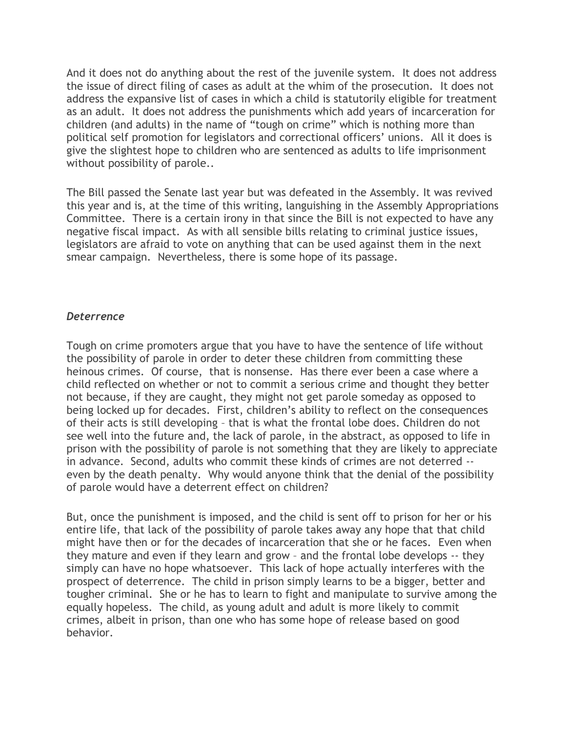And it does not do anything about the rest of the juvenile system. It does not address the issue of direct filing of cases as adult at the whim of the prosecution. It does not address the expansive list of cases in which a child is statutorily eligible for treatment as an adult. It does not address the punishments which add years of incarceration for children (and adults) in the name of "tough on crime" which is nothing more than political self promotion for legislators and correctional officers' unions. All it does is give the slightest hope to children who are sentenced as adults to life imprisonment without possibility of parole..

The Bill passed the Senate last year but was defeated in the Assembly. It was revived this year and is, at the time of this writing, languishing in the Assembly Appropriations Committee. There is a certain irony in that since the Bill is not expected to have any negative fiscal impact. As with all sensible bills relating to criminal justice issues, legislators are afraid to vote on anything that can be used against them in the next smear campaign. Nevertheless, there is some hope of its passage.

## *Deterrence*

Tough on crime promoters argue that you have to have the sentence of life without the possibility of parole in order to deter these children from committing these heinous crimes. Of course, that is nonsense. Has there ever been a case where a child reflected on whether or not to commit a serious crime and thought they better not because, if they are caught, they might not get parole someday as opposed to being locked up for decades. First, children's ability to reflect on the consequences of their acts is still developing – that is what the frontal lobe does. Children do not see well into the future and, the lack of parole, in the abstract, as opposed to life in prison with the possibility of parole is not something that they are likely to appreciate in advance. Second, adults who commit these kinds of crimes are not deterred - even by the death penalty. Why would anyone think that the denial of the possibility of parole would have a deterrent effect on children?

But, once the punishment is imposed, and the child is sent off to prison for her or his entire life, that lack of the possibility of parole takes away any hope that that child might have then or for the decades of incarceration that she or he faces. Even when they mature and even if they learn and grow – and the frontal lobe develops -- they simply can have no hope whatsoever. This lack of hope actually interferes with the prospect of deterrence. The child in prison simply learns to be a bigger, better and tougher criminal. She or he has to learn to fight and manipulate to survive among the equally hopeless. The child, as young adult and adult is more likely to commit crimes, albeit in prison, than one who has some hope of release based on good behavior.